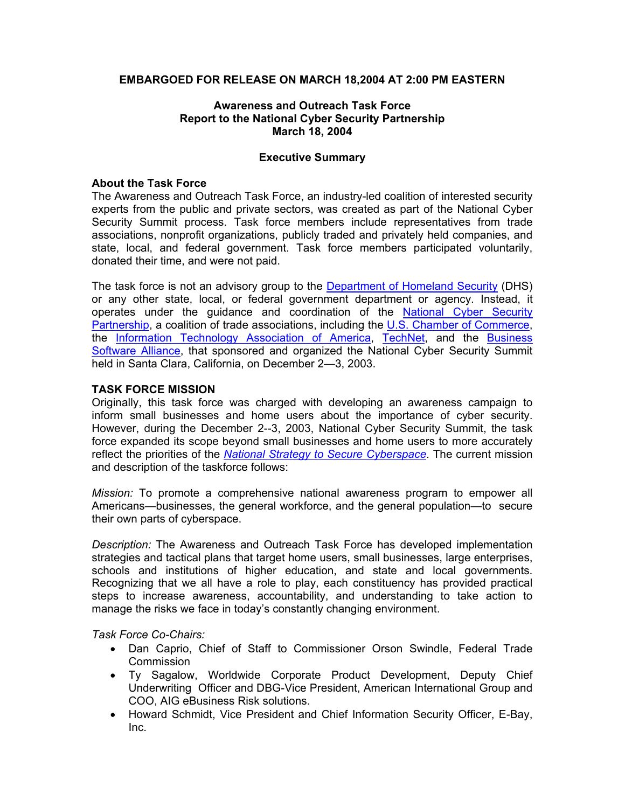### **EMBARGOED FOR RELEASE ON MARCH 18,2004 AT 2:00 PM EASTERN**

### **Awareness and Outreach Task Force Report to the National Cyber Security Partnership March 18, 2004**

### **Executive Summary**

### **About the Task Force**

The Awareness and Outreach Task Force, an industry-led coalition of interested security experts from the public and private sectors, was created as part of the National Cyber Security Summit process. Task force members include representatives from trade associations, nonprofit organizations, publicly traded and privately held companies, and state, local, and federal government. Task force members participated voluntarily, donated their time, and were not paid.

The task force is not an advisory group to the Department of Homeland Security (DHS) or any other state, local, or federal government department or agency. Instead, it operates under the guidance and coordination of the National Cyber Security Partnership, a coalition of trade associations, including the U.S. Chamber of Commerce, the Information Technology Association of America, TechNet, and the Business Software Alliance, that sponsored and organized the National Cyber Security Summit held in Santa Clara, California, on December 2—3, 2003.

### **TASK FORCE MISSION**

Originally, this task force was charged with developing an awareness campaign to inform small businesses and home users about the importance of cyber security. However, during the December 2--3, 2003, National Cyber Security Summit, the task force expanded its scope beyond small businesses and home users to more accurately reflect the priorities of the *National Strategy to Secure Cyberspace*. The current mission and description of the taskforce follows:

*Mission:* To promote a comprehensive national awareness program to empower all Americans—businesses, the general workforce, and the general population—to secure their own parts of cyberspace.

*Description:* The Awareness and Outreach Task Force has developed implementation strategies and tactical plans that target home users, small businesses, large enterprises, schools and institutions of higher education, and state and local governments. Recognizing that we all have a role to play, each constituency has provided practical steps to increase awareness, accountability, and understanding to take action to manage the risks we face in today's constantly changing environment.

### *Task Force Co-Chairs:*

- Dan Caprio, Chief of Staff to Commissioner Orson Swindle, Federal Trade Commission
- Ty Sagalow, Worldwide Corporate Product Development, Deputy Chief Underwriting Officer and DBG-Vice President, American International Group and COO, AIG eBusiness Risk solutions.
- Howard Schmidt, Vice President and Chief Information Security Officer, E-Bay, Inc.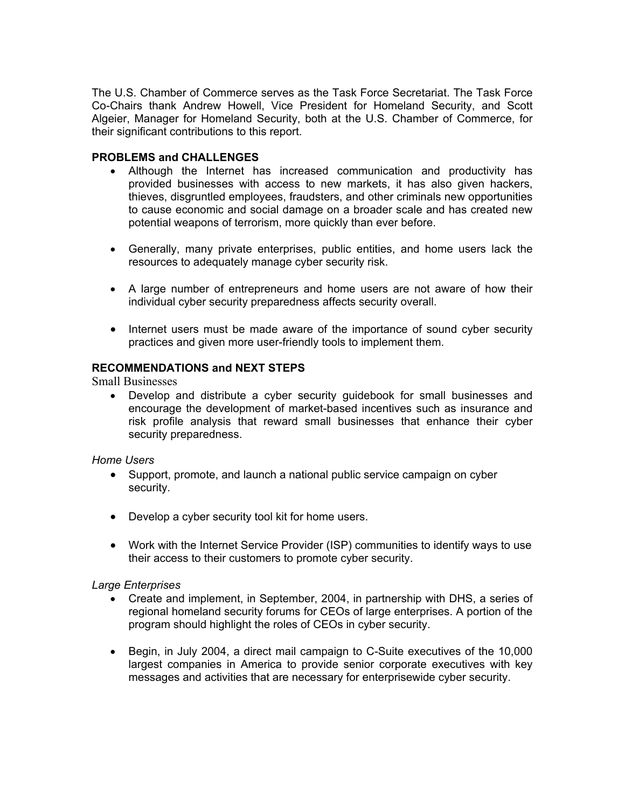The U.S. Chamber of Commerce serves as the Task Force Secretariat. The Task Force Co-Chairs thank Andrew Howell, Vice President for Homeland Security, and Scott Algeier, Manager for Homeland Security, both at the U.S. Chamber of Commerce, for their significant contributions to this report.

# **PROBLEMS and CHALLENGES**

- Although the Internet has increased communication and productivity has provided businesses with access to new markets, it has also given hackers, thieves, disgruntled employees, fraudsters, and other criminals new opportunities to cause economic and social damage on a broader scale and has created new potential weapons of terrorism, more quickly than ever before.
- Generally, many private enterprises, public entities, and home users lack the resources to adequately manage cyber security risk.
- A large number of entrepreneurs and home users are not aware of how their individual cyber security preparedness affects security overall.
- Internet users must be made aware of the importance of sound cyber security practices and given more user-friendly tools to implement them.

## **RECOMMENDATIONS and NEXT STEPS**

Small Businesses

• Develop and distribute a cyber security guidebook for small businesses and encourage the development of market-based incentives such as insurance and risk profile analysis that reward small businesses that enhance their cyber security preparedness.

### *Home Users*

- Support, promote, and launch a national public service campaign on cyber security.
- Develop a cyber security tool kit for home users.
- Work with the Internet Service Provider (ISP) communities to identify ways to use their access to their customers to promote cyber security.

### *Large Enterprises*

- Create and implement, in September, 2004, in partnership with DHS, a series of regional homeland security forums for CEOs of large enterprises. A portion of the program should highlight the roles of CEOs in cyber security.
- Begin, in July 2004, a direct mail campaign to C-Suite executives of the 10,000 largest companies in America to provide senior corporate executives with key messages and activities that are necessary for enterprisewide cyber security.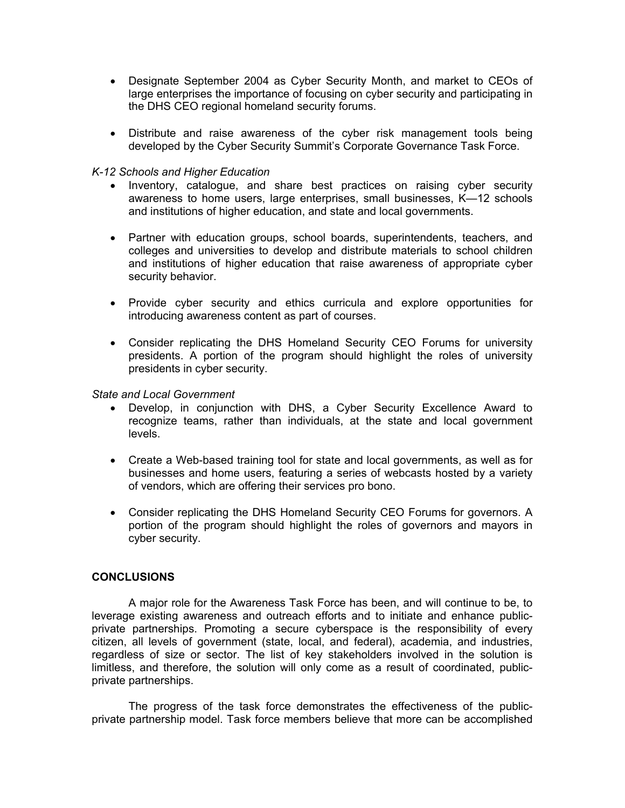- Designate September 2004 as Cyber Security Month, and market to CEOs of large enterprises the importance of focusing on cyber security and participating in the DHS CEO regional homeland security forums.
- Distribute and raise awareness of the cyber risk management tools being developed by the Cyber Security Summit's Corporate Governance Task Force.

### *K-12 Schools and Higher Education*

- Inventory, catalogue, and share best practices on raising cyber security awareness to home users, large enterprises, small businesses, K—12 schools and institutions of higher education, and state and local governments.
- Partner with education groups, school boards, superintendents, teachers, and colleges and universities to develop and distribute materials to school children and institutions of higher education that raise awareness of appropriate cyber security behavior.
- Provide cyber security and ethics curricula and explore opportunities for introducing awareness content as part of courses.
- Consider replicating the DHS Homeland Security CEO Forums for university presidents. A portion of the program should highlight the roles of university presidents in cyber security.

### *State and Local Government*

- Develop, in conjunction with DHS, a Cyber Security Excellence Award to recognize teams, rather than individuals, at the state and local government levels.
- Create a Web-based training tool for state and local governments, as well as for businesses and home users, featuring a series of webcasts hosted by a variety of vendors, which are offering their services pro bono.
- Consider replicating the DHS Homeland Security CEO Forums for governors. A portion of the program should highlight the roles of governors and mayors in cyber security.

### **CONCLUSIONS**

A major role for the Awareness Task Force has been, and will continue to be, to leverage existing awareness and outreach efforts and to initiate and enhance publicprivate partnerships. Promoting a secure cyberspace is the responsibility of every citizen, all levels of government (state, local, and federal), academia, and industries, regardless of size or sector. The list of key stakeholders involved in the solution is limitless, and therefore, the solution will only come as a result of coordinated, publicprivate partnerships.

The progress of the task force demonstrates the effectiveness of the publicprivate partnership model. Task force members believe that more can be accomplished